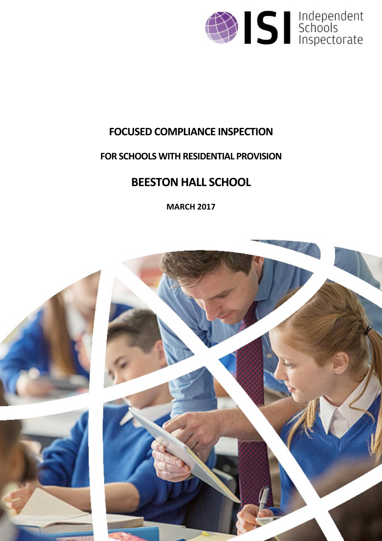

# **FOCUSED COMPLIANCE INSPECTION**

# **FOR SCHOOLS WITH RESIDENTIAL PROVISION**

# **BEESTON HALL SCHOOL**

**MARCH 2017**

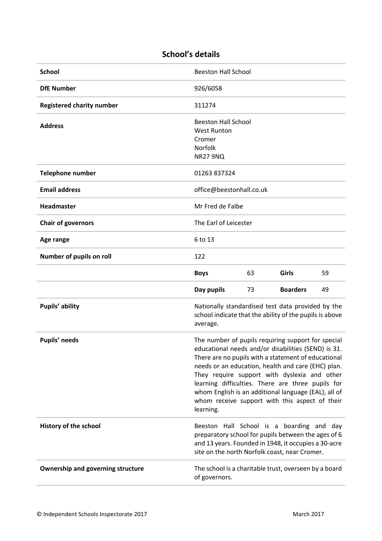## **School's details**

| <b>School</b>                            | <b>Beeston Hall School</b>                                                                                                                                                                                                                                                                                                                                                                                                                         |  |
|------------------------------------------|----------------------------------------------------------------------------------------------------------------------------------------------------------------------------------------------------------------------------------------------------------------------------------------------------------------------------------------------------------------------------------------------------------------------------------------------------|--|
| <b>DfE Number</b>                        | 926/6058                                                                                                                                                                                                                                                                                                                                                                                                                                           |  |
| <b>Registered charity number</b>         | 311274                                                                                                                                                                                                                                                                                                                                                                                                                                             |  |
| <b>Address</b>                           | <b>Beeston Hall School</b><br><b>West Runton</b><br>Cromer<br><b>Norfolk</b><br><b>NR27 9NQ</b>                                                                                                                                                                                                                                                                                                                                                    |  |
| <b>Telephone number</b>                  | 01263 837324                                                                                                                                                                                                                                                                                                                                                                                                                                       |  |
| <b>Email address</b>                     | office@beestonhall.co.uk                                                                                                                                                                                                                                                                                                                                                                                                                           |  |
| Headmaster                               | Mr Fred de Falbe                                                                                                                                                                                                                                                                                                                                                                                                                                   |  |
| <b>Chair of governors</b>                | The Earl of Leicester                                                                                                                                                                                                                                                                                                                                                                                                                              |  |
| Age range                                | 6 to 13                                                                                                                                                                                                                                                                                                                                                                                                                                            |  |
| Number of pupils on roll                 | 122                                                                                                                                                                                                                                                                                                                                                                                                                                                |  |
|                                          | 63<br>Girls<br>59<br><b>Boys</b>                                                                                                                                                                                                                                                                                                                                                                                                                   |  |
|                                          | Day pupils<br><b>Boarders</b><br>49<br>73                                                                                                                                                                                                                                                                                                                                                                                                          |  |
| Pupils' ability                          | Nationally standardised test data provided by the<br>school indicate that the ability of the pupils is above<br>average.                                                                                                                                                                                                                                                                                                                           |  |
| Pupils' needs                            | The number of pupils requiring support for special<br>educational needs and/or disabilities (SEND) is 31.<br>There are no pupils with a statement of educational<br>needs or an education, health and care (EHC) plan.<br>They require support with dyslexia and other<br>learning difficulties. There are three pupils for<br>whom English is an additional language (EAL), all of<br>whom receive support with this aspect of their<br>learning. |  |
| History of the school                    | Beeston Hall School is a boarding and day<br>preparatory school for pupils between the ages of 6<br>and 13 years. Founded in 1948, it occupies a 30-acre<br>site on the north Norfolk coast, near Cromer.                                                                                                                                                                                                                                          |  |
| <b>Ownership and governing structure</b> | The school is a charitable trust, overseen by a board<br>of governors.                                                                                                                                                                                                                                                                                                                                                                             |  |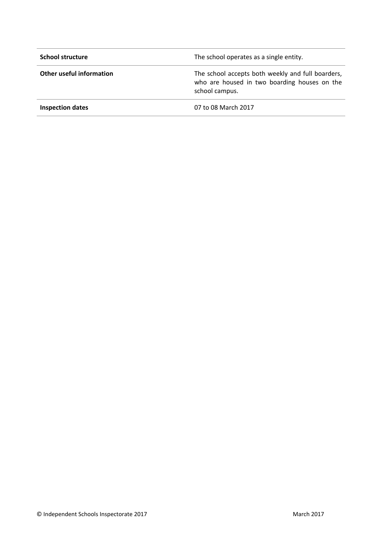| <b>School structure</b>  | The school operates as a single entity.                                                                             |
|--------------------------|---------------------------------------------------------------------------------------------------------------------|
| Other useful information | The school accepts both weekly and full boarders,<br>who are housed in two boarding houses on the<br>school campus. |
| <b>Inspection dates</b>  | 07 to 08 March 2017                                                                                                 |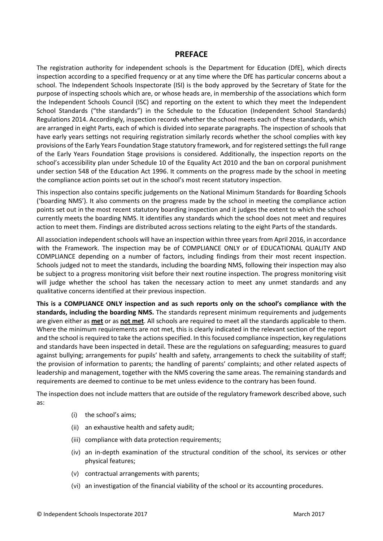#### **PREFACE**

The registration authority for independent schools is the Department for Education (DfE), which directs inspection according to a specified frequency or at any time where the DfE has particular concerns about a school. The Independent Schools Inspectorate (ISI) is the body approved by the Secretary of State for the purpose of inspecting schools which are, or whose heads are, in membership of the associations which form the Independent Schools Council (ISC) and reporting on the extent to which they meet the Independent School Standards ("the standards") in the Schedule to the Education (Independent School Standards) Regulations 2014. Accordingly, inspection records whether the school meets each of these standards, which are arranged in eight Parts, each of which is divided into separate paragraphs. The inspection of schools that have early years settings not requiring registration similarly records whether the school complies with key provisions of the Early Years Foundation Stage statutory framework, and for registered settings the full range of the Early Years Foundation Stage provisions is considered. Additionally, the inspection reports on the school's accessibility plan under Schedule 10 of the Equality Act 2010 and the ban on corporal punishment under section 548 of the Education Act 1996. It comments on the progress made by the school in meeting the compliance action points set out in the school's most recent statutory inspection.

This inspection also contains specific judgements on the National Minimum Standards for Boarding Schools ('boarding NMS'). It also comments on the progress made by the school in meeting the compliance action points set out in the most recent statutory boarding inspection and it judges the extent to which the school currently meets the boarding NMS. It identifies any standards which the school does not meet and requires action to meet them. Findings are distributed across sections relating to the eight Parts of the standards.

All association independent schools will have an inspection within three yearsfrom April 2016, in accordance with the Framework. The inspection may be of COMPLIANCE ONLY or of EDUCATIONAL QUALITY AND COMPLIANCE depending on a number of factors, including findings from their most recent inspection. Schools judged not to meet the standards, including the boarding NMS, following their inspection may also be subject to a progress monitoring visit before their next routine inspection. The progress monitoring visit will judge whether the school has taken the necessary action to meet any unmet standards and any qualitative concerns identified at their previous inspection.

**This is a COMPLIANCE ONLY inspection and as such reports only on the school's compliance with the standards, including the boarding NMS.** The standards represent minimum requirements and judgements are given either as **met** or as **not met**. All schools are required to meet all the standards applicable to them. Where the minimum requirements are not met, this is clearly indicated in the relevant section of the report and the school is required to take the actions specified. In this focused compliance inspection, key regulations and standards have been inspected in detail. These are the regulations on safeguarding; measures to guard against bullying; arrangements for pupils' health and safety, arrangements to check the suitability of staff; the provision of information to parents; the handling of parents' complaints; and other related aspects of leadership and management, together with the NMS covering the same areas. The remaining standards and requirements are deemed to continue to be met unless evidence to the contrary has been found.

The inspection does not include matters that are outside of the regulatory framework described above, such as:

- (i) the school's aims;
- (ii) an exhaustive health and safety audit;
- (iii) compliance with data protection requirements;
- (iv) an in-depth examination of the structural condition of the school, its services or other physical features;
- (v) contractual arrangements with parents;
- (vi) an investigation of the financial viability of the school or its accounting procedures.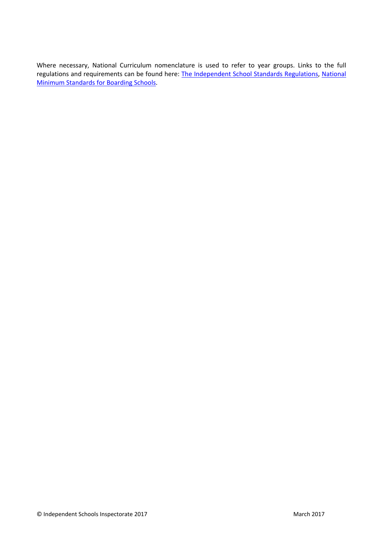Where necessary, National Curriculum nomenclature is used to refer to year groups. Links to the full regulations and requirements can be found here: The [Independent](http://www.legislation.gov.uk/uksi/2014/3283/contents/made) School Standards Regulations, [National](https://www.gov.uk/government/uploads/system/uploads/attachment_data/file/416186/20150319_nms_bs_standards.pdf) Minimum [Standards](https://www.gov.uk/government/uploads/system/uploads/attachment_data/file/416186/20150319_nms_bs_standards.pdf) for Boarding Schools.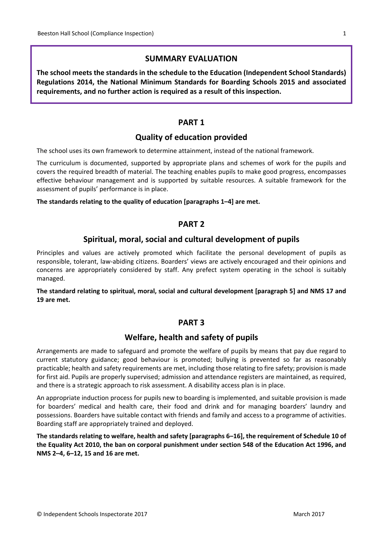## **SUMMARY EVALUATION**

**The school meets the standards in the schedule to the Education (Independent School Standards) Regulations 2014, the National Minimum Standards for Boarding Schools 2015 and associated requirements, and no further action is required as a result of this inspection.**

## **PART 1**

## **Quality of education provided**

The school uses its own framework to determine attainment, instead of the national framework.

The curriculum is documented, supported by appropriate plans and schemes of work for the pupils and covers the required breadth of material. The teaching enables pupils to make good progress, encompasses effective behaviour management and is supported by suitable resources. A suitable framework for the assessment of pupils' performance is in place.

#### **The standards relating to the quality of education [paragraphs 1–4] are met.**

## **PART 2**

## **Spiritual, moral, social and cultural development of pupils**

Principles and values are actively promoted which facilitate the personal development of pupils as responsible, tolerant, law-abiding citizens. Boarders' views are actively encouraged and their opinions and concerns are appropriately considered by staff. Any prefect system operating in the school is suitably managed.

**The standard relating to spiritual, moral, social and cultural development [paragraph 5] and NMS 17 and 19 are met.**

## **PART 3**

## **Welfare, health and safety of pupils**

Arrangements are made to safeguard and promote the welfare of pupils by means that pay due regard to current statutory guidance; good behaviour is promoted; bullying is prevented so far as reasonably practicable; health and safety requirements are met, including those relating to fire safety; provision is made for first aid. Pupils are properly supervised; admission and attendance registers are maintained, as required, and there is a strategic approach to risk assessment. A disability access plan is in place.

An appropriate induction process for pupils new to boarding is implemented, and suitable provision is made for boarders' medical and health care, their food and drink and for managing boarders' laundry and possessions. Boarders have suitable contact with friends and family and access to a programme of activities. Boarding staff are appropriately trained and deployed.

**The standards relating to welfare, health and safety [paragraphs 6–16], the requirement of Schedule 10 of** the Equality Act 2010, the ban on corporal punishment under section 548 of the Education Act 1996, and **NMS 2–4, 6–12, 15 and 16 are met.**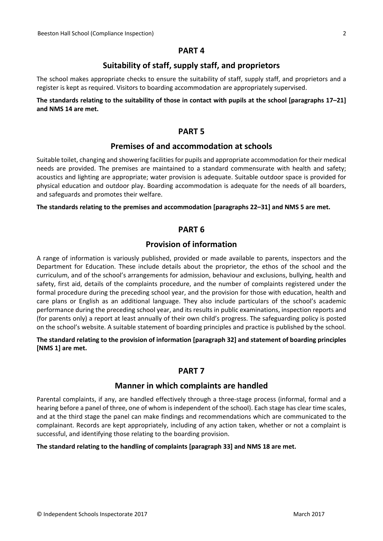#### **PART 4**

## **Suitability of staff, supply staff, and proprietors**

The school makes appropriate checks to ensure the suitability of staff, supply staff, and proprietors and a register is kept as required. Visitors to boarding accommodation are appropriately supervised.

#### The standards relating to the suitability of those in contact with pupils at the school [paragraphs 17-21] **and NMS 14 are met.**

## **PART 5**

## **Premises of and accommodation at schools**

Suitable toilet, changing and showering facilities for pupils and appropriate accommodation for their medical needs are provided. The premises are maintained to a standard commensurate with health and safety; acoustics and lighting are appropriate; water provision is adequate. Suitable outdoor space is provided for physical education and outdoor play. Boarding accommodation is adequate for the needs of all boarders, and safeguards and promotes their welfare.

#### **The standards relating to the premises and accommodation [paragraphs 22–31] and NMS 5 are met.**

#### **PART 6**

## **Provision of information**

A range of information is variously published, provided or made available to parents, inspectors and the Department for Education. These include details about the proprietor, the ethos of the school and the curriculum, and of the school's arrangements for admission, behaviour and exclusions, bullying, health and safety, first aid, details of the complaints procedure, and the number of complaints registered under the formal procedure during the preceding school year, and the provision for those with education, health and care plans or English as an additional language. They also include particulars of the school's academic performance during the preceding school year, and its results in public examinations, inspection reports and (for parents only) a report at least annually of their own child's progress. The safeguarding policy is posted on the school's website. A suitable statement of boarding principles and practice is published by the school.

#### **The standard relating to the provision of information [paragraph 32] and statement of boarding principles [NMS 1] are met.**

#### **PART 7**

#### **Manner in which complaints are handled**

Parental complaints, if any, are handled effectively through a three-stage process (informal, formal and a hearing before a panel of three, one of whom is independent of the school). Each stage has clear time scales, and at the third stage the panel can make findings and recommendations which are communicated to the complainant. Records are kept appropriately, including of any action taken, whether or not a complaint is successful, and identifying those relating to the boarding provision.

#### **The standard relating to the handling of complaints [paragraph 33] and NMS 18 are met.**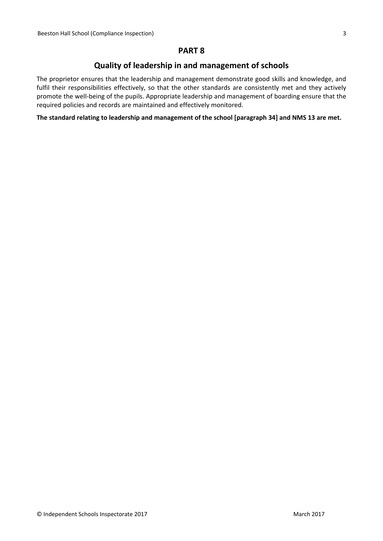## **PART 8**

## **Quality of leadership in and management of schools**

The proprietor ensures that the leadership and management demonstrate good skills and knowledge, and fulfil their responsibilities effectively, so that the other standards are consistently met and they actively promote the well-being of the pupils. Appropriate leadership and management of boarding ensure that the required policies and records are maintained and effectively monitored.

**The standard relating to leadership and management of the school [paragraph 34] and NMS 13 are met.**